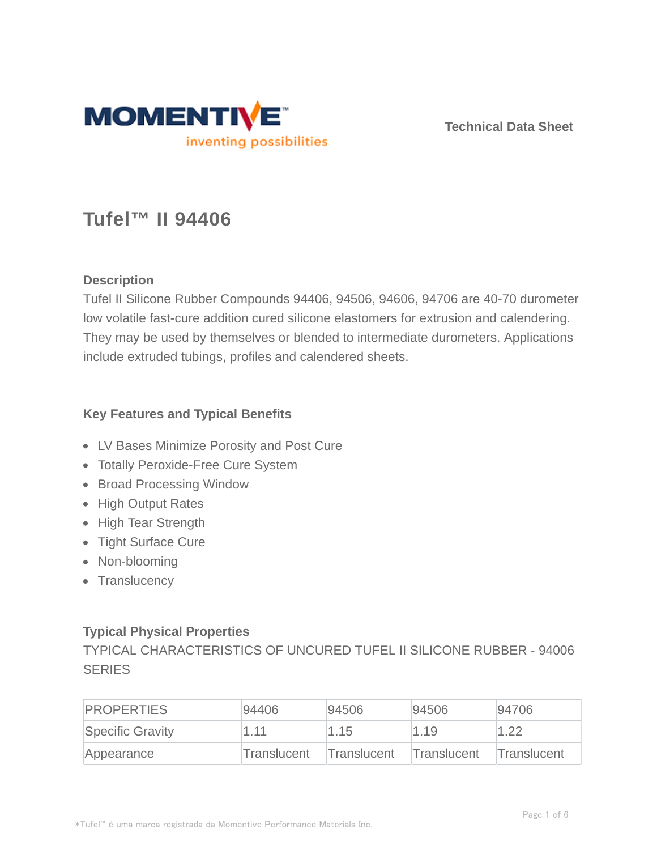

**Technical Data Sheet**

# **Tufel™ II 94406**

# **Description**

Tufel II Silicone Rubber Compounds 94406, 94506, 94606, 94706 are 40-70 durometer low volatile fast-cure addition cured silicone elastomers for extrusion and calendering. They may be used by themselves or blended to intermediate durometers. Applications include extruded tubings, profiles and calendered sheets.

### **Key Features and Typical Benefits**

- LV Bases Minimize Porosity and Post Cure
- Totally Peroxide-Free Cure System
- Broad Processing Window
- High Output Rates
- High Tear Strength
- Tight Surface Cure
- Non-blooming
- Translucency

# **Typical Physical Properties**

TYPICAL CHARACTERISTICS OF UNCURED TUFEL II SILICONE RUBBER - 94006 **SERIES** 

| <b>PROPERTIES</b> | 94406       | 94506       | 94506              | 94706       |
|-------------------|-------------|-------------|--------------------|-------------|
| Specific Gravity  | 1.11        | 1.15        | 1.19               | 1.22        |
| Appearance        | Translucent | Translucent | <b>Translucent</b> | Translucent |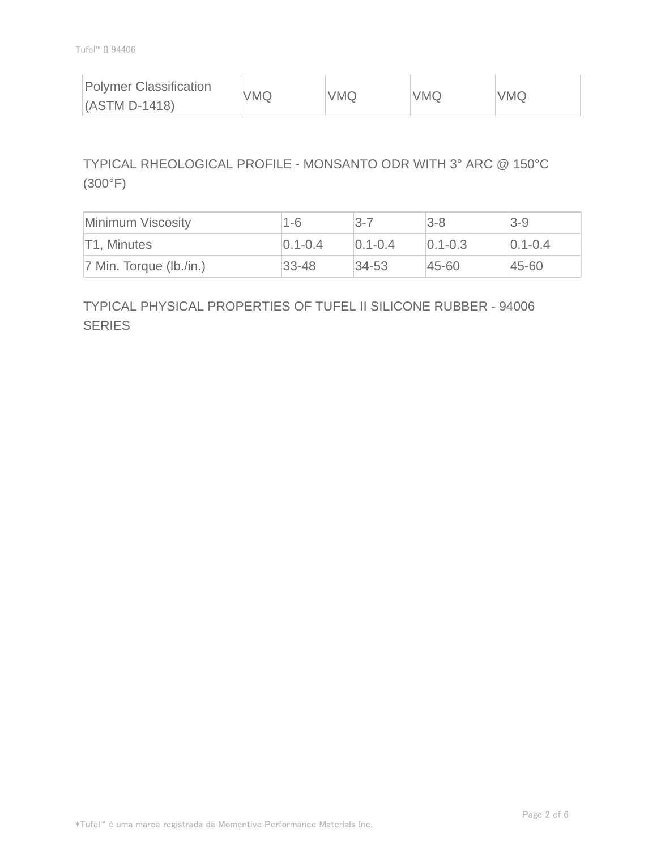| <b>Polymer Classification</b> | VMQ | VMQ | <b>VMQ</b> | <b>VMQ</b> |
|-------------------------------|-----|-----|------------|------------|
| $(ASTM D-1418)$               |     |     |            |            |

# TYPICAL RHEOLOGICAL PROFILE - MONSANTO ODR WITH 3° ARC @ 150°C (300°F)

| Minimum Viscosity          | 1-6           | $3 - 7$     | $ 3-8 $       | $3 - 9$       |
|----------------------------|---------------|-------------|---------------|---------------|
| T1, Minutes                | $ 0.1 - 0.4 $ | $0.1 - 0.4$ | $ 0.1 - 0.3 $ | $ 0.1 - 0.4 $ |
| $ 7$ Min. Torque (lb./in.) | $ 33 - 48 $   | $ 34-53 $   | 45-60         | 45-60         |

# TYPICAL PHYSICAL PROPERTIES OF TUFEL II SILICONE RUBBER - 94006 **SERIES**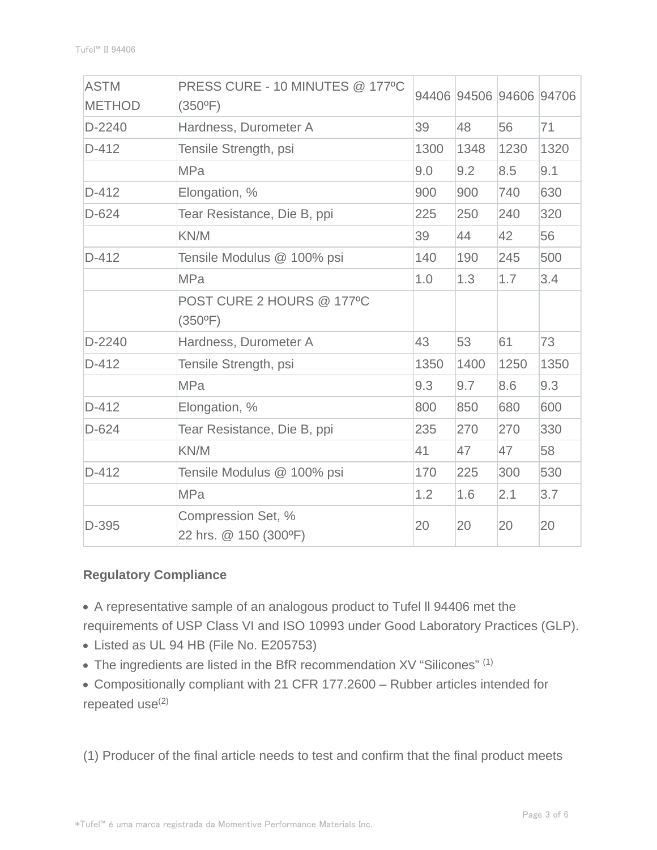| <b>ASTM</b><br><b>METHOD</b> | PRESS CURE - 10 MINUTES @ 177°C<br>$(350^{\circ}F)$ |      |      | 94406 94506 94606 94706 |      |
|------------------------------|-----------------------------------------------------|------|------|-------------------------|------|
| D-2240                       | Hardness, Durometer A                               | 39   | 48   | 56                      | 71   |
| $D-412$                      | Tensile Strength, psi                               | 1300 | 1348 | 1230                    | 1320 |
|                              | <b>MPa</b>                                          | 9.0  | 9.2  | 8.5                     | 9.1  |
| $D-412$                      | Elongation, %                                       | 900  | 900  | 740                     | 630  |
| $D-624$                      | Tear Resistance, Die B, ppi                         | 225  | 250  | 240                     | 320  |
|                              | KN/M                                                | 39   | 44   | 42                      | 56   |
| $D-412$                      | Tensile Modulus @ 100% psi                          | 140  | 190  | 245                     | 500  |
|                              | <b>MPa</b>                                          | 1.0  | 1.3  | 1.7                     | 3.4  |
|                              | POST CURE 2 HOURS @ 177°C<br>$(350^{\circ}F)$       |      |      |                         |      |
| $D-2240$                     | Hardness, Durometer A                               | 43   | 53   | 61                      | 73   |
| $D-412$                      | Tensile Strength, psi                               | 1350 | 1400 | 1250                    | 1350 |
|                              | <b>MPa</b>                                          | 9.3  | 9.7  | 8.6                     | 9.3  |
| $D-412$                      | Elongation, %                                       | 800  | 850  | 680                     | 600  |
| $D-624$                      | Tear Resistance, Die B, ppi                         | 235  | 270  | 270                     | 330  |
|                              | KN/M                                                | 41   | 47   | 47                      | 58   |
| $D-412$                      | Tensile Modulus @ 100% psi                          | 170  | 225  | 300                     | 530  |
|                              | <b>MPa</b>                                          | 1.2  | 1.6  | 2.1                     | 3.7  |
| D-395                        | Compression Set, %<br>22 hrs. @ 150 (300°F)         | 20   | 20   | 20                      | 20   |

# **Regulatory Compliance**

A representative sample of an analogous product to Tufel ll 94406 met the requirements of USP Class VI and ISO 10993 under Good Laboratory Practices (GLP).

- Listed as UL 94 HB (File No. E205753)
- The ingredients are listed in the BfR recommendation XV "Silicones" (1)
- Compositionally compliant with 21 CFR 177.2600 Rubber articles intended for repeated  $use^{(2)}$

(1) Producer of the final article needs to test and confirm that the final product meets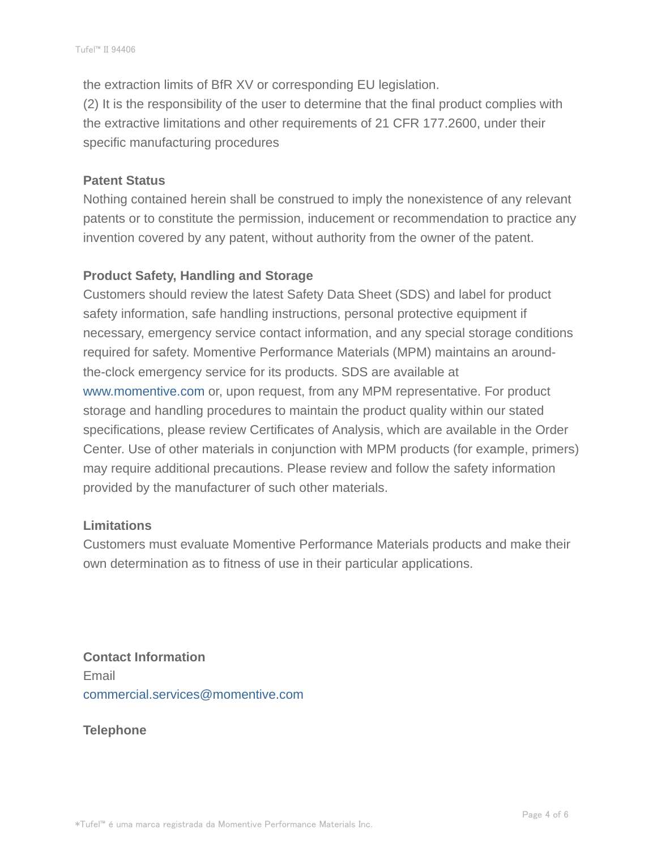the extraction limits of BfR XV or corresponding EU legislation. (2) It is the responsibility of the user to determine that the final product complies with the extractive limitations and other requirements of 21 CFR 177.2600, under their specific manufacturing procedures

#### **Patent Status**

Nothing contained herein shall be construed to imply the nonexistence of any relevant patents or to constitute the permission, inducement or recommendation to practice any invention covered by any patent, without authority from the owner of the patent.

#### **Product Safety, Handling and Storage**

Customers should review the latest Safety Data Sheet (SDS) and label for product safety information, safe handling instructions, personal protective equipment if necessary, emergency service contact information, and any special storage conditions required for safety. Momentive Performance Materials (MPM) maintains an aroundthe-clock emergency service for its products. SDS are available at www.momentive.com or, upon request, from any MPM representative. For product storage and handling procedures to maintain the product quality within our stated specifications, please review Certificates of Analysis, which are available in the Order Center. Use of other materials in conjunction with MPM products (for example, primers) may require additional precautions. Please review and follow the safety information provided by the manufacturer of such other materials.

#### **Limitations**

Customers must evaluate Momentive Performance Materials products and make their own determination as to fitness of use in their particular applications.

**Contact Information** Email commercial.services@momentive.com

**Telephone**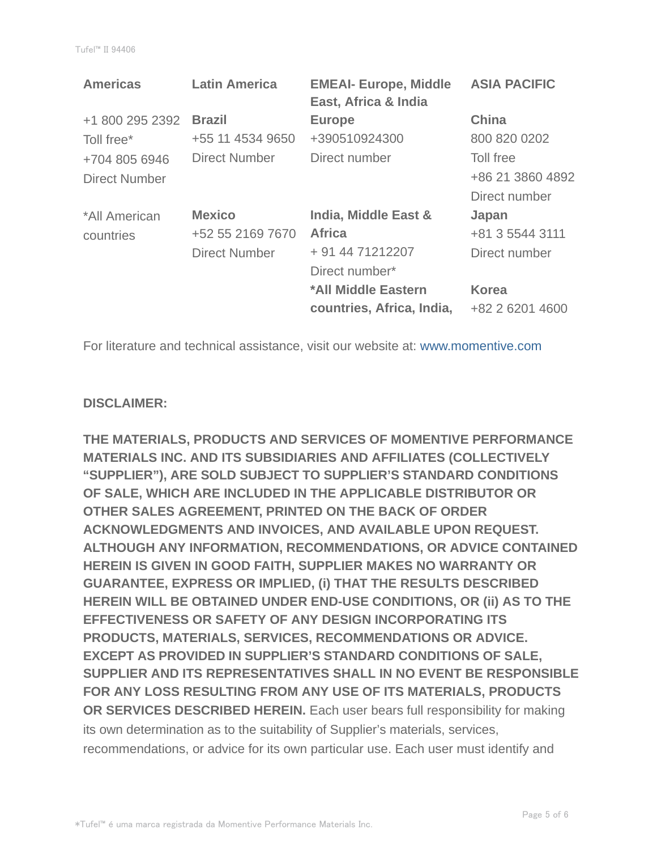| <b>Americas</b>      | <b>Latin America</b> | <b>EMEAI- Europe, Middle</b><br>East, Africa & India | <b>ASIA PACIFIC</b> |
|----------------------|----------------------|------------------------------------------------------|---------------------|
| +1 800 295 2392      | <b>Brazil</b>        | <b>Europe</b>                                        | <b>China</b>        |
| Toll free*           | +55 11 4534 9650     | +390510924300                                        | 800 820 0202        |
| +704 805 6946        | Direct Number        | Direct number                                        | Toll free           |
| <b>Direct Number</b> |                      |                                                      | +86 21 3860 4892    |
|                      |                      |                                                      | Direct number       |
| *All American        | <b>Mexico</b>        | India, Middle East &                                 | Japan               |
| countries            | +52 55 2169 7670     | <b>Africa</b>                                        | +81 3 5544 3111     |
|                      | <b>Direct Number</b> | + 91 44 71212207                                     | Direct number       |
|                      |                      | Direct number*                                       |                     |
|                      |                      | *All Middle Eastern                                  | <b>Korea</b>        |
|                      |                      | countries, Africa, India,                            | +82 2 6201 4600     |

For literature and technical assistance, visit our website at: www.momentive.com

#### **DISCLAIMER:**

**THE MATERIALS, PRODUCTS AND SERVICES OF MOMENTIVE PERFORMANCE MATERIALS INC. AND ITS SUBSIDIARIES AND AFFILIATES (COLLECTIVELY "SUPPLIER"), ARE SOLD SUBJECT TO SUPPLIER'S STANDARD CONDITIONS OF SALE, WHICH ARE INCLUDED IN THE APPLICABLE DISTRIBUTOR OR OTHER SALES AGREEMENT, PRINTED ON THE BACK OF ORDER ACKNOWLEDGMENTS AND INVOICES, AND AVAILABLE UPON REQUEST. ALTHOUGH ANY INFORMATION, RECOMMENDATIONS, OR ADVICE CONTAINED HEREIN IS GIVEN IN GOOD FAITH, SUPPLIER MAKES NO WARRANTY OR GUARANTEE, EXPRESS OR IMPLIED, (i) THAT THE RESULTS DESCRIBED HEREIN WILL BE OBTAINED UNDER END-USE CONDITIONS, OR (ii) AS TO THE EFFECTIVENESS OR SAFETY OF ANY DESIGN INCORPORATING ITS PRODUCTS, MATERIALS, SERVICES, RECOMMENDATIONS OR ADVICE. EXCEPT AS PROVIDED IN SUPPLIER'S STANDARD CONDITIONS OF SALE, SUPPLIER AND ITS REPRESENTATIVES SHALL IN NO EVENT BE RESPONSIBLE FOR ANY LOSS RESULTING FROM ANY USE OF ITS MATERIALS, PRODUCTS OR SERVICES DESCRIBED HEREIN.** Each user bears full responsibility for making its own determination as to the suitability of Supplier's materials, services, recommendations, or advice for its own particular use. Each user must identify and